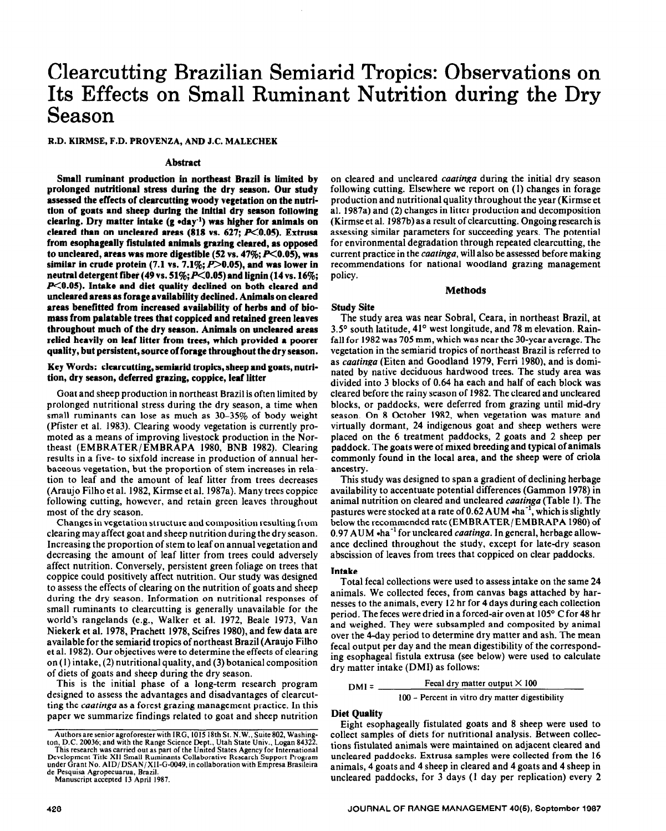# **Clearcutting Brazilian Semiarid Tropics: Observations on Its Effects on Small Ruminant Nutrition during the Dry Season**

**R.D. KIRMSE, F.D. PROVENZA, AND J.C. MALECHEK** 

#### **Abstract**

**Small ruminant production in northeast Brazil is limited by prolonged nutritional stress during the dry season. Our study assessed the effects of clenrcutting woody vegetation on the nutrition of goats and sheep during the initial dry season following clearing. Dry matter intake (g \*day-r) was higher for animals on**  cleared than on uncleared areas (818 vs. 627; P<0.05). Extrusa **from esophageally fistulated animals grazing cleared, as opposed**  to uncleared, areas was more digestible (52 vs. 47%; P<0.05), was similar in crude protein (7.1 vs. 7.1%;  $P > 0.05$ ), and was lower in **neutral detergent fiber (49 vs. 51%;p<O.O5) and lignin (14 vs. 16%;**  *P***<0.05). Intake and diet quality declined on both cleared and uncleared areas as forage availability declined. Animals on cleared areas benefitted from increased availability of herbs and of biomass from palatable trees that coppiced and retained green leaves throughout much of the dry season. Animals on uncleared areas relied heavily on leaf litter from trees, which provided a poorer quality, but persistent, source of forage throughout the dry season.** 

# **Key Words: clearcutting, semiarid tropics, sheep and goats, nutrition, dry season, deferred grazing, coppice, leaf litter**

Goat and sheep production in northeast Brazil is often limited by prolonged nutritional stress during the dry season, a time when small ruminants can lose as much as 30-35% of body weight (Pfister et al. 1983). Clearing woody vegetation is currently promoted as a means of improving livestock production in the Northeast (EMBRATER/EMBRAPA 1980, BNB 1982). Clearing results in a five- to sixfold increase in production of annual herbaceous vegetation, but the proportion of stem increases in relation to leaf and the amount of leaf litter from trees decreases (Araujo Filho et al. 1982, Kirmse et al. 1987a). Many trees coppice following cutting, however, and retain green leaves throughout most of the dry season.

Changes in vegetation structure and composition resulting from clearing may affect goat and sheep nutrition during the dry season. Increasing the proportion of stem to leaf on annual vegetation and decreasing the amount of leaf litter from trees could adversely affect nutrition. Conversely, persistent green foliage on trees that coppice could positively affect nutrition. Our study was designed to assess the effects of clearing on the nutrition of goats and sheep during the dry season. Information on nutritional responses of small ruminants to clearcutting is generally unavailable for the world's rangelands (e.g., Walker et al. 1972, Beale 1973, Van Niekerk et al. 1978, Prachett 1978, Scifres 1980), and few data are available for the semiarid tropics of northeast Brazil (Araujo Filho et al. 1982). Our objectives were to determine the effects of clearing on (1) intake, (2) nutritional quality, and (3) botanical composition of diets of goats and sheep during the dry season.

This is the initial phase of a long-term research program designed to assess the advantages and disadvantages of clearcutting the *caatingu* as a forest grazing management practice. In this paper we summarize findings related to goat and sheep nutrition

ton, D.C. 20036; and with the Range Science Dept., Utah State Univ., Logan 8432. This research was carried out as part of the United States Agency for International Development Title XII Small Ruminants Collaborative Research Support Program under Grant No. AID/ DSAN/ X11-G-0049, in collaboration with Empress Brasileira

de Pesquisa Agropecuarua, Brazil. Manuscript accepted 13 April 1987. on cleared and uncleared *caatinga* during the initial dry season following cutting. Elsewhere we report on (1) changes in forage production and nutritional quality throughout the year (Kirmse et al. 1987a) and (2) changes in litter production and decomposition (Kirmse et al. 1987b) as a result of clearcutting. Ongoing research is assessing similar parameters for succeeding years. The potential for environmental degradation through repeated clearcutting, the current practice in the *caatinga,* will also be assessed before making recommendations for national woodland grazing management policy.

## **Methods**

# **Study Site**

The study area was near Sobral, Ceara, in northeast Brazil, at 3.5° south latitude, 41° west longitude, and 78 m elevation. Rainfall for 1982 was 705 mm, which was near the 30-year average. The vegetation in the semiarid tropics of northeast Brazil is referred to as *caatinga* (Eiten and Goodland 1979, Ferri 1980), and is dominated by native deciduous hardwood trees. The study area was divided into 3 blocks of 0.64 ha each and half of each block was cleared before the rainy season of 1982. The cleared and uncleared blocks, or paddocks, were deferred from grazing until mid-dry season. On 8 October 1982, when vegetation was mature and virtually dormant, 24 indigenous goat and sheep wethers were placed on the 6 treatment paddocks, 2 goats and 2 sheep per paddock. The goats were of mixed breeding and typical of animals commonly found in the local area, and the sheep were of criola ancestry.

This study was designed to span a gradient of declining herbage availability to accentuate potential differences (Gammon 1978) in animal nutrition on cleared and uncleared *caatinga* (Table 1). The pastures were stocked at a rate of  $0.62$  AUM  $\cdot$ ha<sup>-1</sup>, which is slightly below the recommended rate (EMBRATER/ EMBRAPA 1980) of 0.97 AUM \*ha-' for uncleared *caatinga.* In general, herbage allowance declined throughout the study, except for late-dry season abscission of leaves from trees that coppiced on clear paddocks.

## **Intake**

Total fecal collections were used to assess intake on the same 24 animals. We collected feces, from canvas bags attached by harnesses to the animals, every 12 hr for 4 days during each collection period. The feces were dried in a forced-air oven at 105° C for 48 hr and weighed. They were subsampled and composited by animal over the 4-day period to determine dry matter and ash. The mean fecal output per day and the mean digestibility of the corresponding esophageal fistula extrusa (see below) were used to calculate dry matter intake (DMI) as follows:

$$
DMI = \frac{Fecal \, dy \, matter \, output \times 100}{100 - Percent \, in \, vitro \, dry \, matter \, digestibility}
$$

## **Diet Quality**

Eight esophageally fistulated goats and 8 sheep were used to collect samples of diets for nutritional analysis. Between collections fistulated animals were maintained on adjacent cleared and uncleared paddocks. Extrusa samples were collected from the 16 animals, 4 goats and 4 sheep in cleared and 4 goats and 4 sheep in uncleared paddocks, for 3 days (1 day per replication) every 2

Authors are senior agroforester with IRG, 1015 18th St. N.W., Suite 802, Washing-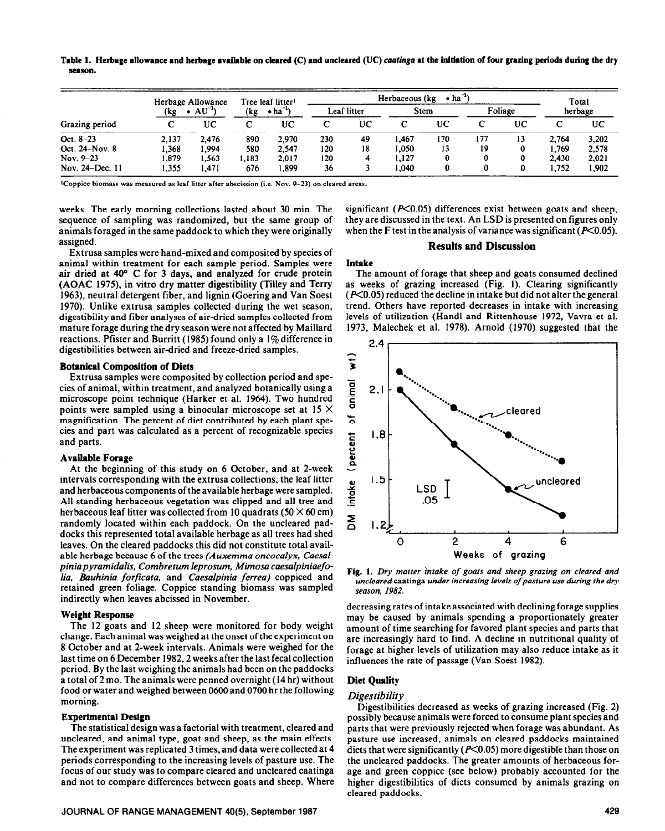Table 1. Herbage allowance and herbage available on cleared (C) and uncleared (UC) *caatinga* at the initiation of four grazing periods during the dry **season.** 

| Grazing period  | Herbage Allowance<br>$AU^{-1}$<br>(kg |       | Tree leaf litter <sup>1</sup><br>$\bullet$ ha <sup>-1</sup><br>(kg |       | $\bullet$ ha <sup>-15</sup><br>Herbaceous (kg) |    |             |     |         |    | Total   |       |
|-----------------|---------------------------------------|-------|--------------------------------------------------------------------|-------|------------------------------------------------|----|-------------|-----|---------|----|---------|-------|
|                 |                                       |       |                                                                    |       | Leaf litter                                    |    | <b>Stem</b> |     | Foliage |    | herbage |       |
|                 |                                       | UС    |                                                                    | UC    |                                                | UC |             | UC  |         | UC |         | UC    |
| Oct. 8-23       | 2.137                                 | 2.476 | 890                                                                | 2.970 | 230                                            | 49 | 1.467       | 170 | 177     | 13 | 2.764   | 3.202 |
| Oct. 24-Nov. 8  | 1.368                                 | 1.994 | 580                                                                | 2.547 | 120                                            | 18 | 1.050       | 13  | 19      | 0  | 1.769   | 2.578 |
| Nov. 9-23       | 1,879                                 | l.563 | .183                                                               | 2.017 | 120                                            |    | 1.127       |     |         | 0  | 2.430   | 2,021 |
| Nov. 24–Dec. 11 | 1.355                                 | .471  | 676                                                                | 1.899 | 36                                             |    | .040        |     |         |    | 1.752   | 1.902 |

'Coppice biomass was measured as leaf litter after abscission (i.e. Nov. 9-23) on cleared areas.

weeks. The early morning collections lasted about 30 min. The sequence of sampling was randomized, but the same group of animals foraged in the same paddock to which they were originally assigned.

Extrusa samples were hand-mixed and composited by species of animal within treatment for each sample period. Samples were air dried at 40' C for 3 days, and analyzed for crude protein (AOAC 1975), in vitro dry matter digestibility (Tilley and Terry 1963), neutral detergent fiber, and lignin (Goering and Van Soest 1970). Unlike extrusa samples collected during the wet season, digestibility and fiber analyses of air-dried samples collected from mature forage during the dry season were not affected by Maillard reactions. Pfister and Burritt (1985) found only a 1% difference in digestibilities between air-dried and freeze-dried samples.

# Botanical Composition of Diets

Extrusa samples were composited by collection period and species of animal, within treatment, and analyzed botanically using a microscope point technique (Harker et al. 1964). Two hundred points were sampled using a binocular microscope set at  $15 \times$ magnification. The percent of diet contributed by each plant species and part was calculated as a percent of recognizable species and parts.

# **Available Forage**

At the beginning of this study on 6 October, and at 2-week intervals corresponding with the extrusa collections, the leaf litter and herbaceous components of the available herbage were sampled. All standing herbaceous vegetation was clipped and all tree and herbaceous leaf litter was collected from 10 quadrats (50  $\times$  60 cm) randomly located within each paddock. On the uncleared paddocks this represented total available herbage as all trees had shed leaves. On the cleared paddocks this did not constitute total available herbage because 6 of the trees *(Auxemma oncocalyx, Caesalpiniapyramidalis, Combretum leprosum, Mimosa caesalpiniaefolia, Bauhinia forficata,* and *Caesalpinia ferrea)* coppiced and retained green foliage. Coppice standing biomass was sampled indirectly when leaves abcissed in November.

## **Weight Response**

The 12 goats and 12 sheep were monitored for body weight change. Each animal was weighed at the onset of the experiment on 8 October and at 2-week intervals. Animals were weighed for the last time on 6 December 1982, 2 weeks after the last fecal collection period. By the last weighing the animals had been on the paddocks a total of 2 mo. The animals were penned overnight (14 hr) without food or water and weighed between 0600 and 0700 hr the following morning.

## **Experimental Design**

The statistical design was a factorial with treatment, cleared and uncleared, and animal type, goat and sheep, as the main effects. The experiment was replicated 3 times, and data were collected at 4 periods corresponding to the increasing levels of pasture use. The focus of our study was to compare cleared and uncleared caatinga and not to compare differences between goats and sheep. Where

**JOURNAL OF RANGE MANAGEMENT 40(5), September 1987** 429

significant ( $P<0.05$ ) differences exist between goats and sheep, they are discussed in the text. An LSD is presented on figures only when the F test in the analysis of variance was significant ( $P<0.05$ ).

# **Results and Discussion**

#### **Intake**

The amount of forage that sheep and goats consumed declined as weeks of grazing increased (Fig. 1). Clearing significantly  $(K<sub>0.05</sub>)$  reduced the decline in intake but did not alter the general trend. Others have reported decreases in intake with increasing levels of utilization (Handl and Rittenhouse 1972, Vavra et al. 1973, Malechek et al. 1978). Arnold (1970) suggested that the



**Fig. 1.** *Dry matter intake of goats and sheep grazing on cleared and uncleared* caatinga *under increasing levels of pasture use during the dry season, 1982.* 

decreasing rates of intake associated with declining forage supplies may be caused by animals spending a proportionately greater amount of time searching for favored plant species and parts that are increasingly hard to find. A decline in nutritional quality of forage at higher levels of utilization may also reduce intake as it influences the rate of passage (Van Soest 1982).

# **Diet Quality**

# *Digestibility*

Digestibilities decreased as weeks of grazing increased (Fig. 2) possibly because animals were forced to consume plant species and parts that were previously rejected when forage was abundant. As pasture use increased, animals on cleared paddocks maintained diets that were significantly ( $P<0.05$ ) more digestible than those on the uncleared paddocks. The greater amounts of herbaceous forage and green coppice (see below) probably accounted for the higher digestibilities of diets consumed by animals grazing on cleared paddocks.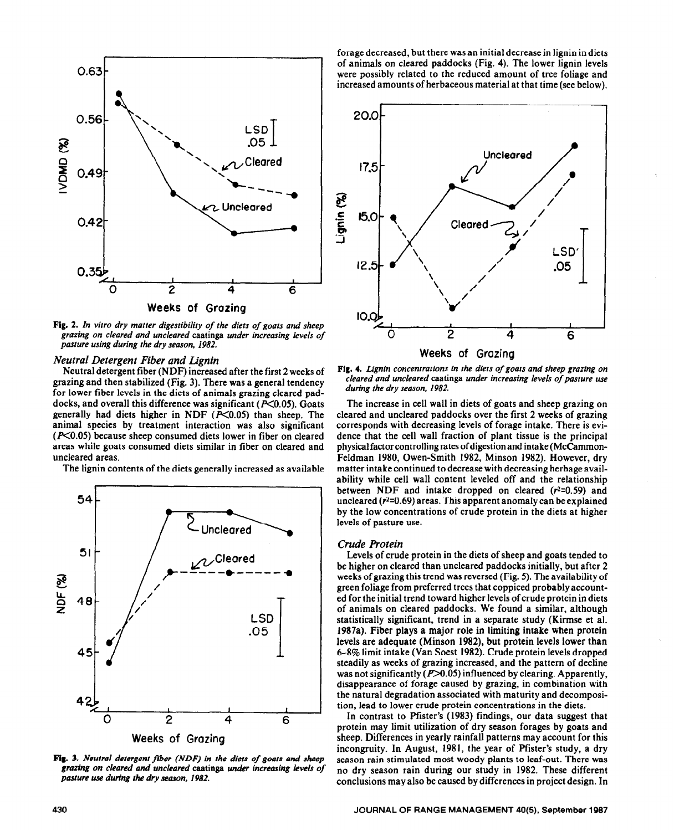

**Fig. 2.** *In vitro dry matter digestibility of the diets of goats and sheep grazing on cleared and uncleared* caatinga *under increasing levels of pasture using during the dry season, 1982.* 

# *Neutral Detergent Fiber and Lignin*

Neutral detergent fiber (NDF) increased after the first 2 weeks of grazing and then stabilized (Fig. 3). There was a general tendency for lower fiber levels in the diets of animals grazing cleared paddocks, and overall this difference was significant ( $P<0.05$ ). Goats generally had diets higher in NDF  $(P<0.05)$  than sheep. The animal species by treatment interaction was also significant  $(P<0.05)$  because sheep consumed diets lower in fiber on cleared areas while goats consumed diets similar in fiber on cleared and uncleared areas.

The lignin contents of the diets generally increased as available



**Fig. 3.** *Neutral detergent fiier (NDF') in the diets of goats and sheep*  grazing on cleared and uncleared caatinga under increasing levels of *pasture use during the dry season, 1982.* 

forage decreased, but there was an initial decrease in lignin in diets of animals on cleared paddocks (Fig. 4). The lower lignin levels were possibly related to the reduced amount of tree foliage and increased amounts of herbaceous material at that time (see below).



**Fig. 4.** *L.ignin concentrations in the diets of goats and sheep grazing on cleared and uncleared* caatinga *under increasing levels of pasture use during the dry season, 1982.* 

The increase in cell wall in diets of goats and sheep grazing on cleared and uncleared paddocks over the first 2 weeks of grazing corresponds with decreasing levels of forage intake. There is evidence that the cell wall fraction of plant tissue is the principal physical factor controlling rates of digestion and intake (McCammon-Feldman 1980, Owen-Smith 1982, Minson 1982). However, dry matter intake continued to decrease with decreasing herbage availability while cell wall content leveled off and the relationship between NDF and intake dropped on cleared ( $r^2$ =0.59) and uncleared  $(r^2=0.69)$  areas. This apparent anomaly can be explained by the low concentrations of crude protein in the diets at higher levels of pasture use.

# *Crude Protein*

Levels of crude protein in the diets of sheep and goats tended to be higher on cleared than uncleared paddocks initially, but after 2 weeks of grazing this trend was reversed (Fig. 5). The availability of green foliage from preferred trees that coppiced probably accounted for the initial trend toward higher levels of crude protein in diets of animals on cleared paddocks. We found a similar, although statistically significant, trend in a separate study (Kirmse et al. 1987a). Fiber plays a major role in limiting intake when protein levels are adequate (Minson 1982), but protein levels lower than 6-8% limit intake (Van Soest 1982). Crude protein levels dropped steadily as weeks of grazing increased, and the pattern of decline was not significantly  $(P>0.05)$  influenced by clearing. Apparently, disappearance of forage caused by grazing, in combination with the natural degradation associated with maturity and decomposition, lead to lower crude protein concentrations in the diets.

In contrast to Pfister's (1983) findings, our data suggest that protein may limit utilization of dry season forages by goats and sheep. Differences in yearly rainfall patterns may account for this incongruity. In August, 1981, the year of Pfister's study, a dry season rain stimulated most woody plants to leaf-out. There was no dry season rain during our study in 1982. These different conclusions may also be caused by differences in project design. In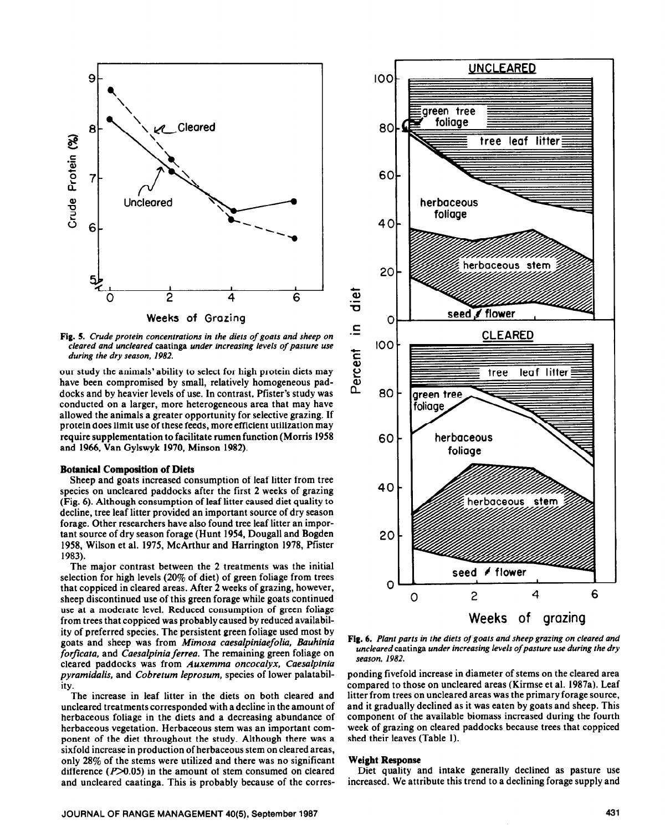

**Fig. 5.** *Crude protein concentrations in the diets of goats and sheep on cleared and uncleared* caatinga *under increasing levels of pasture use during the dry season, 1982.* 

our study the animals' ability to select for high protein diets may have been compromised by small, relatively homogeneous paddocks and by heavier levels of use. In contrast, Pfister's study was conducted on a larger, more heterogeneous area that may have allowed the animals a greater opportunity for selective grazing. If protein does limit use of these feeds, more efficient utilization may require supplementation to facilitate rumen function (Morris 1958 and 1966, Van Gylswyk 1970, Minson 1982).

## **Botanical Composition of Diets**

Sheep and goats increased consumption of leaf litter from tree species on uncleared paddocks after the first 2 weeks of grazing (Fig. 6). Although consumption of leaf litter caused diet quality to decline, tree leaf litter provided an important source of dry season forage. Other researchers have also found tree leaf litter an important source of dry season forage (Hunt 1954, Dougall and Bogden 1958, Wilson et al. 1975, McArthur and Harrington 1978, Pfister 1983).

The major contrast between the 2 treatments was the initial selection for high levels (20% of diet) of green foliage from trees that coppiced in cleared areas. After 2 weeks of grazing, however, sheep discontinued use of this green forage while goats continued use at a moderate level. Reduced consumption of green foliage from trees that coppiced was probably caused by reduced availability of preferred species. The persistent green foliage used most by goats and sheep was from *Mimosa caesalpiniaefolia, Bauhinia forficata,* and *Caesalpinia ferrea. The* remaining green foliage on cleared paddocks was from *Auxemma oncocalyx, Caesalpinia pyramidalis,* and *Cobretum leprosum,* species of lower palatability.

The increase in leaf litter in the diets on both cleared and uncleared treatments corresponded with a decline in the amount of herbaceous foliage in the diets and a decreasing abundance of herbaceous vegetation. Herbaceous stem was an important component of the diet throughout the study. Although there was a sixfold increase in production of herbaceous stem on cleared areas, only 28% of the stems were utilized and there was no significant difference  $(P>0.05)$  in the amount of stem consumed on cleared and uncleared caatinga. This is probably because of the corres-



**Fig. 6.** *Plant parts in the diets of goats and sheep grazing on cleared and uncleared* caatinga *under increasing levels ofpasrure use during the dry season, 1982.* 

ponding fivefold increase in diameter of stems on the cleared area compared to those on uncleared areas (Kirmse et al. 1987a). Leaf litter from trees on uncleared areas was the primary forage source, and it gradually declined as it was eaten by goats and sheep. This component of the available biomass increased during the fourth week of grazing on cleared paddocks because trees that coppiced shed their leaves (Table 1).

#### **Weight Response**

Diet quality and intake generally declined as pasture use increased. We attribute this trend to a declining forage supply and